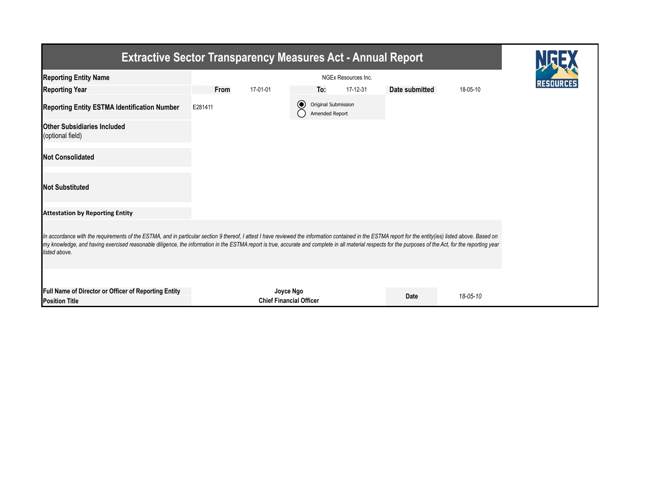| <b>Extractive Sector Transparency Measures Act - Annual Report</b>                                                                                                                                                                                                                                                                                                                                                                    |             |                     |                                                                   |          |                |          |  |  |  |
|---------------------------------------------------------------------------------------------------------------------------------------------------------------------------------------------------------------------------------------------------------------------------------------------------------------------------------------------------------------------------------------------------------------------------------------|-------------|---------------------|-------------------------------------------------------------------|----------|----------------|----------|--|--|--|
| <b>Reporting Entity Name</b>                                                                                                                                                                                                                                                                                                                                                                                                          |             | NGEx Resources Inc. |                                                                   |          |                |          |  |  |  |
| <b>Reporting Year</b>                                                                                                                                                                                                                                                                                                                                                                                                                 | <b>From</b> | 17-01-01            | To:                                                               | 17-12-31 | Date submitted | 18-05-10 |  |  |  |
| <b>Reporting Entity ESTMA Identification Number</b>                                                                                                                                                                                                                                                                                                                                                                                   | E281411     |                     | Original Submission<br>$\left( \bullet \right)$<br>Amended Report |          |                |          |  |  |  |
| <b>Other Subsidiaries Included</b><br>(optional field)                                                                                                                                                                                                                                                                                                                                                                                |             |                     |                                                                   |          |                |          |  |  |  |
| <b>Not Consolidated</b>                                                                                                                                                                                                                                                                                                                                                                                                               |             |                     |                                                                   |          |                |          |  |  |  |
| <b>Not Substituted</b>                                                                                                                                                                                                                                                                                                                                                                                                                |             |                     |                                                                   |          |                |          |  |  |  |
| <b>Attestation by Reporting Entity</b>                                                                                                                                                                                                                                                                                                                                                                                                |             |                     |                                                                   |          |                |          |  |  |  |
| In accordance with the requirements of the ESTMA, and in particular section 9 thereof, I attest I have reviewed the information contained in the ESTMA report for the entity(ies) listed above. Based on<br>my knowledge, and having exercised reasonable diligence, the information in the ESTMA report is true, accurate and complete in all material respects for the purposes of the Act, for the reporting year<br>listed above. |             |                     |                                                                   |          |                |          |  |  |  |
|                                                                                                                                                                                                                                                                                                                                                                                                                                       |             |                     |                                                                   |          |                |          |  |  |  |
| Full Name of Director or Officer of Reporting Entity<br><b>Position Title</b>                                                                                                                                                                                                                                                                                                                                                         |             |                     | Joyce Ngo<br><b>Chief Financial Officer</b>                       |          | Date           | 18-05-10 |  |  |  |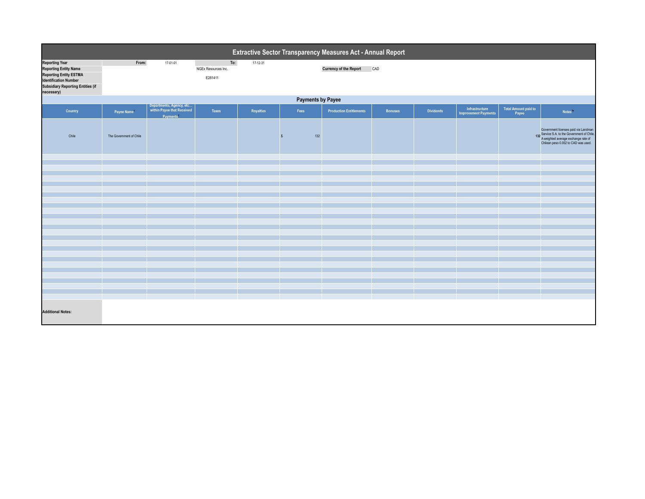| Extractive Sector Transparency Measures Act - Annual Report                                                                                                                      |                          |                                                                                 |                                       |           |      |                                |                |                  |                                               |                                      |                                                                                                                                                                    |
|----------------------------------------------------------------------------------------------------------------------------------------------------------------------------------|--------------------------|---------------------------------------------------------------------------------|---------------------------------------|-----------|------|--------------------------------|----------------|------------------|-----------------------------------------------|--------------------------------------|--------------------------------------------------------------------------------------------------------------------------------------------------------------------|
| <b>Reporting Year</b><br><b>Reporting Entity Name</b><br><b>Reporting Entity ESTMA</b><br><b>Identification Number</b><br><b>Subsidiary Reporting Entities (if</b><br>necessary) | From:                    | 17-01-01                                                                        | To:<br>NGEx Resources Inc.<br>E281411 | 17-12-31  |      | <b>Currency of the Report</b>  | CAD            |                  |                                               |                                      |                                                                                                                                                                    |
|                                                                                                                                                                                  | <b>Payments by Payee</b> |                                                                                 |                                       |           |      |                                |                |                  |                                               |                                      |                                                                                                                                                                    |
| Country                                                                                                                                                                          | Payee Name               | Departments, Agency, etc<br>within Payee that Received<br>Payments <sup>2</sup> | Taxes                                 | Royalties | Fees | <b>Production Entitlements</b> | <b>Bonuses</b> | <b>Dividends</b> | Infrastructure<br><b>Improvement Payments</b> | <b>Total Amount paid to</b><br>Payee | Notes <sup>34</sup>                                                                                                                                                |
| Chile                                                                                                                                                                            | The Government of Chile  |                                                                                 |                                       |           | 132  |                                |                |                  |                                               |                                      | Government licenses paid via Landman<br>132 Service S.A. to the Government of Chile.<br>A weighted average exchange rate of<br>Chilean peso 0.002 to CAD was used. |
|                                                                                                                                                                                  |                          |                                                                                 |                                       |           |      |                                |                |                  |                                               |                                      |                                                                                                                                                                    |
|                                                                                                                                                                                  |                          |                                                                                 |                                       |           |      |                                |                |                  |                                               |                                      |                                                                                                                                                                    |
|                                                                                                                                                                                  |                          |                                                                                 |                                       |           |      |                                |                |                  |                                               |                                      |                                                                                                                                                                    |
|                                                                                                                                                                                  |                          |                                                                                 |                                       |           |      |                                |                |                  |                                               |                                      |                                                                                                                                                                    |
|                                                                                                                                                                                  |                          |                                                                                 |                                       |           |      |                                |                |                  |                                               |                                      |                                                                                                                                                                    |
|                                                                                                                                                                                  |                          |                                                                                 |                                       |           |      |                                |                |                  |                                               |                                      |                                                                                                                                                                    |
|                                                                                                                                                                                  |                          |                                                                                 |                                       |           |      |                                |                |                  |                                               |                                      |                                                                                                                                                                    |
|                                                                                                                                                                                  |                          |                                                                                 |                                       |           |      |                                |                |                  |                                               |                                      |                                                                                                                                                                    |
|                                                                                                                                                                                  |                          |                                                                                 |                                       |           |      |                                |                |                  |                                               |                                      |                                                                                                                                                                    |
|                                                                                                                                                                                  |                          |                                                                                 |                                       |           |      |                                |                |                  |                                               |                                      |                                                                                                                                                                    |
|                                                                                                                                                                                  |                          |                                                                                 |                                       |           |      |                                |                |                  |                                               |                                      |                                                                                                                                                                    |
|                                                                                                                                                                                  |                          |                                                                                 |                                       |           |      |                                |                |                  |                                               |                                      |                                                                                                                                                                    |
|                                                                                                                                                                                  |                          |                                                                                 |                                       |           |      |                                |                |                  |                                               |                                      |                                                                                                                                                                    |
|                                                                                                                                                                                  |                          |                                                                                 |                                       |           |      |                                |                |                  |                                               |                                      |                                                                                                                                                                    |
|                                                                                                                                                                                  |                          |                                                                                 |                                       |           |      |                                |                |                  |                                               |                                      |                                                                                                                                                                    |
|                                                                                                                                                                                  |                          |                                                                                 |                                       |           |      |                                |                |                  |                                               |                                      |                                                                                                                                                                    |
|                                                                                                                                                                                  |                          |                                                                                 |                                       |           |      |                                |                |                  |                                               |                                      |                                                                                                                                                                    |
|                                                                                                                                                                                  |                          |                                                                                 |                                       |           |      |                                |                |                  |                                               |                                      |                                                                                                                                                                    |
|                                                                                                                                                                                  |                          |                                                                                 |                                       |           |      |                                |                |                  |                                               |                                      |                                                                                                                                                                    |
|                                                                                                                                                                                  |                          |                                                                                 |                                       |           |      |                                |                |                  |                                               |                                      |                                                                                                                                                                    |
|                                                                                                                                                                                  |                          |                                                                                 |                                       |           |      |                                |                |                  |                                               |                                      |                                                                                                                                                                    |
| <b>Additional Notes:</b>                                                                                                                                                         |                          |                                                                                 |                                       |           |      |                                |                |                  |                                               |                                      |                                                                                                                                                                    |